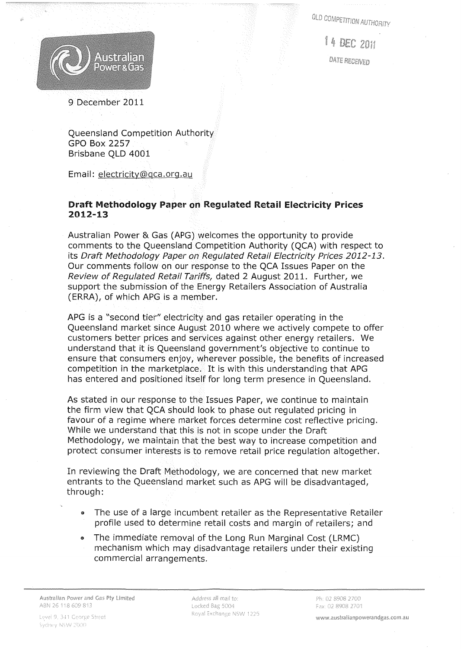**QLD COMPETITION AUTHORITY** 

1 4 DEC 2011

DATE RECEIVED

# 9 December 2011

Queensland Competition Authority GPO Box 2257 Brisbane QLD 4001

Email: electricity@qca.org.au

## Draft Methodology Paper on Regulated Retail Electricity Prices 2012-13

Australian Power & Gas (APG) welcomes the opportunity to provide comments to the Queensland Competition Authority (QCA) with respect to its Draft Methodology Paper on Regulated Retail Electricity Prices 2012-13. Our comments follow on our response to the QCA Issues Paper on the Review of Regulated Retail Tariffs, dated 2 August 2011. Further, we support the submission of the Energy Retailers Association of Australia CERRA), of which APG is a member.

APG is a "second tier" electricity and gas retailer operating in the Queensland market since August 2010 where we actively compete to offer customers better prices and services against other energy retailers. We understand that it is Queensland government's objective to continue to ensure that consumers enjoy, wherever possible, the benefits of increased competition in the marketplace. It is with this understanding that APG has entered and positioned itself for long term presence in Queensland.

As stated in our response to the Issues Paper, we continue to maintain the firm view that QCA should look to phase out regulated pricing in favour of a regime where market forces determine cost reflective pricing. While we understand that this is not in scope under the Draft Methodology, we maintain that the best way to increase competition and protect consumer interests is to remove retail price regulation altogether.

In reviewing the Draft Methodology, we are concerned that new market entrants to the Queensland market such as APG will be disadvantaged, through:

- The use of a large incumbent retailer as the Representative Retailer profile used to determine retail costs and margin of retailers; and
- The immediate removal of the Long Run Marginal Cost (LRMC) mechanism which may disadvantage retailers under their existing commercial arrangements.

Address all mail to: Locked Bag 5004 Royal Exchange NSW 1225

www.australianpowerandgas.com.au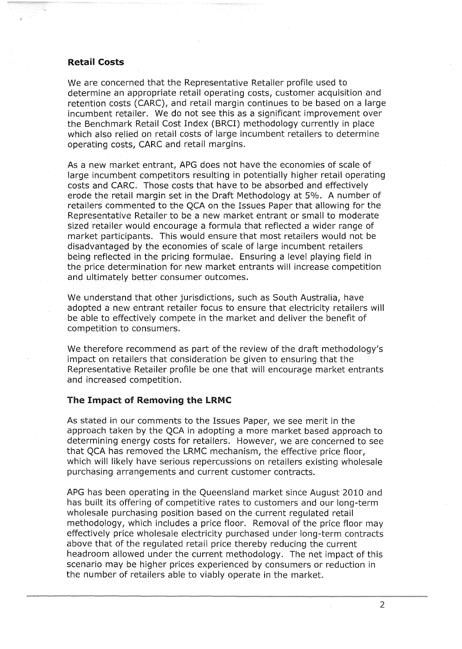### **Retail Costs**

We are concerned that the Representative Retailer profile used to determine an appropriate retail operating costs, customer acquisition and retention costs (CARC), and retail margin continues to be based on a large incumbent retailer. We do not see this as a significant improvement over the Benchmark Retail Cost Index (BRCI) methodology currently in place which also relied on retail costs of large incumbent retailers to determine operating costs, CARC and retail margins.

As a new market entrant, APG does not have the economies of scale of large incumbent competitors resulting in potentially higher retail operating costs and CARe. Those costs that have to be absorbed and effectively erode the retail margin set in the Draft Methodology at 5%. A number of retailers commented to the QCA on the Issues Paper that allowing for the Representative Retailer to be a new market entrant or small to moderate sized retailer would encourage a formula that reflected a wider range of market participants. This would ensure that most retailers would not be disadvantaged by the economies of scale of large incumbent retailers being reflected in the pricing formulae. Ensuring a level playing field in the price determination for new market entrants will increase competition and ultimately better consumer outcomes.

We understand that other jurisdictions, such as South Australia, have adopted a new entrant retailer focus to ensure that electricity retailers will be able to effectively compete in the market and deliver the benefit of competition to consumers.

We therefore recommend as part of the review of the draft methodology's impact on retailers that consideration be given to ensuring that the Representative Retailer profile be one that will encourage market entrants and increased competition.

## The Impact of Removing the LRMC

As stated in our comments to the Issues Paper, we see merit in the approach taken by the QCA in adopting a more market based approach to determining energy costs for retailers. However, we are concerned to see that QCA has removed the LRMC mechanism, the effective price floor, which will likely have serious repercussions on retailers existing wholesale purchasing arrangements and current customer contracts.

APG has been operating in the Queensland market since August 2010 and has built its offering of competitive rates to customers and our long-term wholesale purchasing position based on the current regulated retail methodology, which includes a price floor. Removal of the price floor may effectively price wholesale electricity purchased under long-term contracts above that of the regulated retail price thereby reducing the current headroom allowed under the current methodology. The net impact of this scenario may be higher prices experienced by consumers or reduction in the number of retailers able to viably operate in the market.